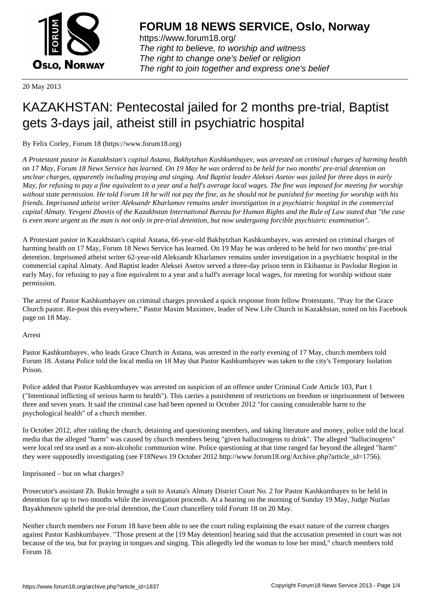

https://www.forum18.org/ The right to believe, to worship and witness The right to change one's belief or religion [The right to join together a](https://www.forum18.org/)nd express one's belief

20 May 2013

## [KAZAKHSTAN:](https://www.forum18.org) Pentecostal jailed for 2 months pre-trial, Baptist gets 3-days jail, atheist still in psychiatric hospital

By Felix Corley, Forum 18 (https://www.forum18.org)

*A Protestant pastor in Kazakhstan's capital Astana, Bakhytzhan Kashkumbayev, was arrested on criminal charges of harming health on 17 May, Forum 18 News Service has learned. On 19 May he was ordered to be held for two months' pre-trial detention on unclear charges, apparently including praying and singing. And Baptist leader Aleksei Asetov was jailed for three days in early May, for refusing to pay a fine equivalent to a year and a half's average local wages. The fine was imposed for meeting for worship without state permission. He told Forum 18 he will not pay the fine, as he should not be punished for meeting for worship with his friends. Imprisoned atheist writer Aleksandr Kharlamov remains under investigation in a psychiatric hospital in the commercial capital Almaty. Yevgeni Zhovtis of the Kazakhstan International Bureau for Human Rights and the Rule of Law stated that "the case is even more urgent as the man is not only in pre-trial detention, but now undergoing forcible psychiatric examination".*

A Protestant pastor in Kazakhstan's capital Astana, 66-year-old Bakhytzhan Kashkumbayev, was arrested on criminal charges of harming health on 17 May, Forum 18 News Service has learned. On 19 May he was ordered to be held for two months' pre-trial detention. Imprisoned atheist writer 62-year-old Aleksandr Kharlamov remains under investigation in a psychiatric hospital in the commercial capital Almaty. And Baptist leader Aleksei Asetov served a three-day prison term in Ekibastuz in Pavlodar Region in early May, for refusing to pay a fine equivalent to a year and a half's average local wages, for meeting for worship without state permission.

The arrest of Pastor Kashkumbayev on criminal charges provoked a quick response from fellow Protestants. "Pray for the Grace Church pastor. Re-post this everywhere," Pastor Maxim Maximov, leader of New Life Church in Kazakhstan, noted on his Facebook page on 18 May.

Arrest

Pastor Kashkumbayev, who leads Grace Church in Astana, was arrested in the early evening of 17 May, church members told Forum 18. Astana Police told the local media on 18 May that Pastor Kashkumbayev was taken to the city's Temporary Isolation Prison.

Police added that Pastor Kashkumbayev was arrested on suspicion of an offence under Criminal Code Article 103, Part 1 ("Intentional inflicting of serious harm to health"). This carries a punishment of restrictions on freedom or imprisonment of between three and seven years. It said the criminal case had been opened in October 2012 "for causing considerable harm to the psychological health" of a church member.

In October 2012, after raiding the church, detaining and questioning members, and taking literature and money, police told the local media that the alleged "harm" was caused by church members being "given hallucinogens to drink". The alleged "hallucinogens" were local red tea used as a non-alcoholic communion wine. Police questioning at that time ranged far beyond the alleged "harm" they were supposedly investigating (see F18News 19 October 2012 http://www.forum18.org/Archive.php?article\_id=1756).

Imprisoned – but on what charges?

Prosecutor's assistant Zh. Bukin brought a suit to Astana's Almaty District Court No. 2 for Pastor Kashkumbayev to be held in detention for up to two months while the investigation proceeds. At a hearing on the morning of Sunday 19 May, Judge Nurlan Bayakhmetov upheld the pre-trial detention, the Court chancellery told Forum 18 on 20 May.

Neither church members nor Forum 18 have been able to see the court ruling explaining the exact nature of the current charges against Pastor Kashkumbayev. "Those present at the [19 May detention] hearing said that the accusation presented in court was not because of the tea, but for praying in tongues and singing. This allegedly led the woman to lose her mind," church members told Forum 18.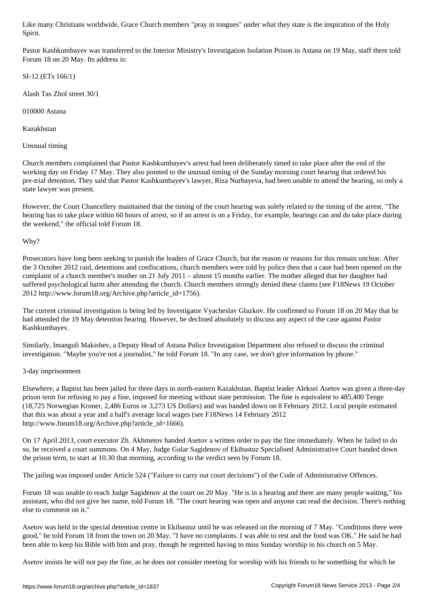Pastor Kashkumbayev was transferred to the Interior Ministry's Investigation Isolation Prison in Astana on 19 May, staff there told Forum 18 on 20 May. Its address is:

SI-12 (ETs 166/1)

Spirit. The spirit of the spirit.

Alash Tas Zhol street 30/1

010000 Astana

Kazakhstan

Unusual timing

Church members complained that Pastor Kashkumbayev's arrest had been deliberately timed to take place after the end of the working day on Friday 17 May. They also pointed to the unusual timing of the Sunday morning court hearing that ordered his pre-trial detention. They said that Pastor Kashkumbayev's lawyer, Riza Nurbayeva, had been unable to attend the hearing, so only a state lawyer was present.

However, the Court Chancellery maintained that the timing of the court hearing was solely related to the timing of the arrest. "The hearing has to take place within 60 hours of arrest, so if an arrest is on a Friday, for example, hearings can and do take place during the weekend," the official told Forum 18.

Why?

Prosecutors have long been seeking to punish the leaders of Grace Church, but the reason or reasons for this remain unclear. After the 3 October 2012 raid, detentions and confiscations, church members were told by police then that a case had been opened on the complaint of a church member's mother on 21 July 2011 – almost 15 months earlier. The mother alleged that her daughter had suffered psychological harm after attending the church. Church members strongly denied these claims (see F18News 19 October 2012 http://www.forum18.org/Archive.php?article\_id=1756).

The current criminal investigation is being led by Investigator Vyacheslav Glazkov. He confirmed to Forum 18 on 20 May that he had attended the 19 May detention hearing. However, he declined absolutely to discuss any aspect of the case against Pastor Kashkumbayev.

Similarly, Imanguli Makishev, a Deputy Head of Astana Police Investigation Department also refused to discuss the criminal investigation. "Maybe you're not a journalist," he told Forum 18. "In any case, we don't give information by phone."

## 3-day imprisonment

Elsewhere, a Baptist has been jailed for three days in north-eastern Kazakhstan. Baptist leader Aleksei Asetov was given a three-day prison term for refusing to pay a fine, imposed for meeting without state permission. The fine is equivalent to 485,400 Tenge (18,725 Norwegian Kroner, 2,486 Euros or 3,273 US Dollars) and was handed down on 8 February 2012. Local people estimated that this was about a year and a half's average local wages (see F18News 14 February 2012 http://www.forum18.org/Archive.php?article\_id=1666).

On 17 April 2013, court executor Zh. Akhmetov handed Asetov a written order to pay the fine immediately. When he failed to do so, he received a court summons. On 4 May, Judge Gular Sagidenov of Ekibastuz Specialised Administrative Court handed down the prison term, to start at 10.30 that morning, according to the verdict seen by Forum 18.

The jailing was imposed under Article 524 ("Failure to carry out court decisions") of the Code of Administrative Offences.

Forum 18 was unable to reach Judge Sagidenov at the court on 20 May. "He is in a hearing and there are many people waiting," his assistant, who did not give her name, told Forum 18. "The court hearing was open and anyone can read the decision. There's nothing else to comment on it."

Asetov was held in the special detention centre in Ekibastuz until he was released on the morning of 7 May. "Conditions there were good," he told Forum 18 from the town on 20 May. "I have no complaints. I was able to rest and the food was OK." He said he had been able to keep his Bible with him and pray, though he regretted having to miss Sunday worship in his church on 5 May.

Asetov insists he will not pay the fine, as he does not consider meeting for worship with his friends to be something for which he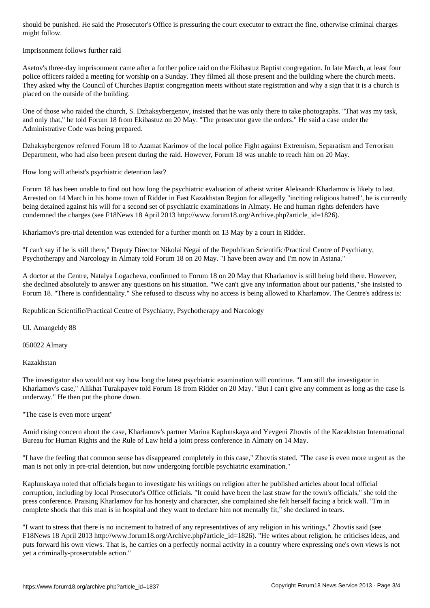Imprisonment follows further raid

might follow.

Asetov's three-day imprisonment came after a further police raid on the Ekibastuz Baptist congregation. In late March, at least four police officers raided a meeting for worship on a Sunday. They filmed all those present and the building where the church meets. They asked why the Council of Churches Baptist congregation meets without state registration and why a sign that it is a church is placed on the outside of the building.

One of those who raided the church, S. Dzhaksybergenov, insisted that he was only there to take photographs. "That was my task, and only that," he told Forum 18 from Ekibastuz on 20 May. "The prosecutor gave the orders." He said a case under the Administrative Code was being prepared.

Dzhaksybergenov referred Forum 18 to Azamat Karimov of the local police Fight against Extremism, Separatism and Terrorism Department, who had also been present during the raid. However, Forum 18 was unable to reach him on 20 May.

How long will atheist's psychiatric detention last?

Forum 18 has been unable to find out how long the psychiatric evaluation of atheist writer Aleksandr Kharlamov is likely to last. Arrested on 14 March in his home town of Ridder in East Kazakhstan Region for allegedly "inciting religious hatred", he is currently being detained against his will for a second set of psychiatric examinations in Almaty. He and human rights defenders have condemned the charges (see F18News 18 April 2013 http://www.forum18.org/Archive.php?article\_id=1826).

Kharlamov's pre-trial detention was extended for a further month on 13 May by a court in Ridder.

"I can't say if he is still there," Deputy Director Nikolai Negai of the Republican Scientific/Practical Centre of Psychiatry, Psychotherapy and Narcology in Almaty told Forum 18 on 20 May. "I have been away and I'm now in Astana."

A doctor at the Centre, Natalya Logacheva, confirmed to Forum 18 on 20 May that Kharlamov is still being held there. However, she declined absolutely to answer any questions on his situation. "We can't give any information about our patients," she insisted to Forum 18. "There is confidentiality." She refused to discuss why no access is being allowed to Kharlamov. The Centre's address is:

Republican Scientific/Practical Centre of Psychiatry, Psychotherapy and Narcology

Ul. Amangeldy 88

050022 Almaty

Kazakhstan

The investigator also would not say how long the latest psychiatric examination will continue. "I am still the investigator in Kharlamov's case," Alikhat Turakpayev told Forum 18 from Ridder on 20 May. "But I can't give any comment as long as the case is underway." He then put the phone down.

"The case is even more urgent"

Amid rising concern about the case, Kharlamov's partner Marina Kaplunskaya and Yevgeni Zhovtis of the Kazakhstan International Bureau for Human Rights and the Rule of Law held a joint press conference in Almaty on 14 May.

"I have the feeling that common sense has disappeared completely in this case," Zhovtis stated. "The case is even more urgent as the man is not only in pre-trial detention, but now undergoing forcible psychiatric examination."

Kaplunskaya noted that officials began to investigate his writings on religion after he published articles about local official corruption, including by local Prosecutor's Office officials. "It could have been the last straw for the town's officials," she told the press conference. Praising Kharlamov for his honesty and character, she complained she felt herself facing a brick wall. "I'm in complete shock that this man is in hospital and they want to declare him not mentally fit," she declared in tears.

"I want to stress that there is no incitement to hatred of any representatives of any religion in his writings," Zhovtis said (see F18News 18 April 2013 http://www.forum18.org/Archive.php?article\_id=1826). "He writes about religion, he criticises ideas, and puts forward his own views. That is, he carries on a perfectly normal activity in a country where expressing one's own views is not yet a criminally-prosecutable action."